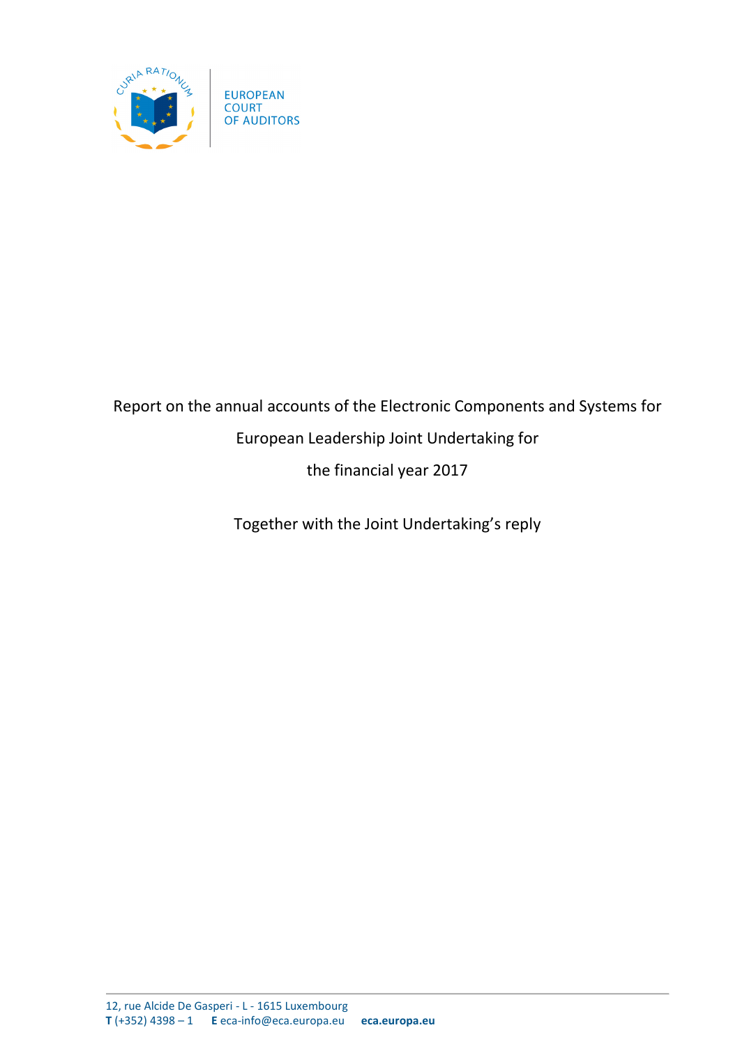

# Report on the annual accounts of the Electronic Components and Systems for European Leadership Joint Undertaking for the financial year 2017

Together with the Joint Undertaking's reply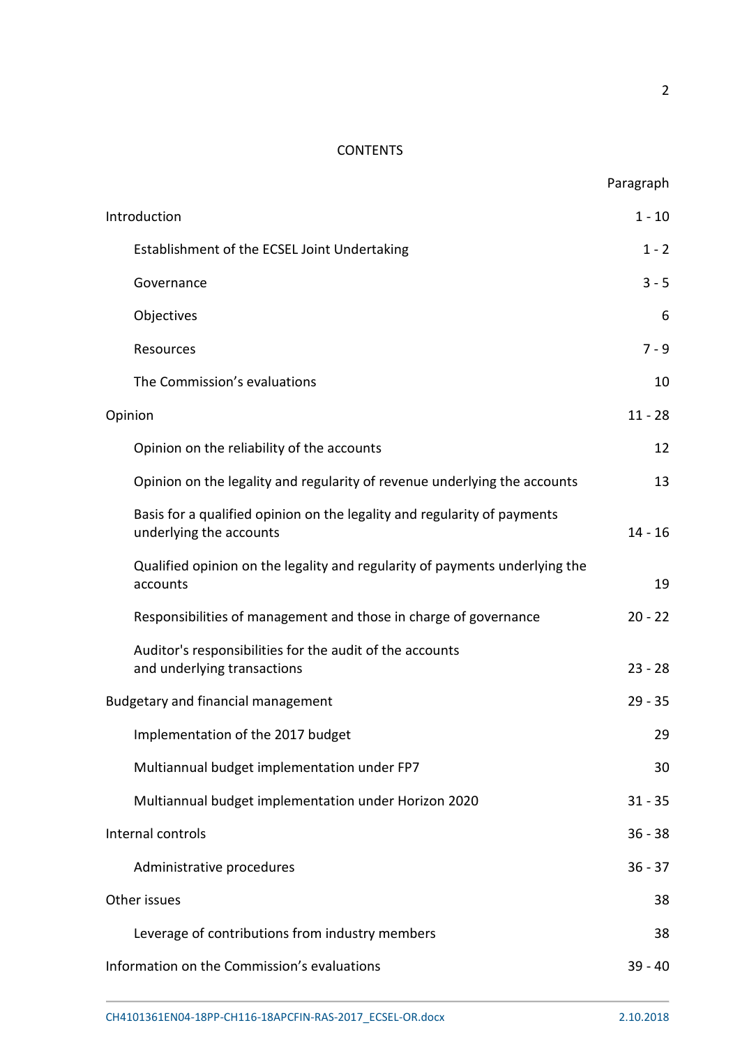# **CONTENTS**

|                                                                                                     | Paragraph |
|-----------------------------------------------------------------------------------------------------|-----------|
| Introduction                                                                                        | $1 - 10$  |
| Establishment of the ECSEL Joint Undertaking                                                        | $1 - 2$   |
| Governance                                                                                          | $3 - 5$   |
| Objectives                                                                                          | 6         |
| Resources                                                                                           | $7 - 9$   |
| The Commission's evaluations                                                                        | 10        |
| Opinion                                                                                             |           |
| Opinion on the reliability of the accounts                                                          | 12        |
| Opinion on the legality and regularity of revenue underlying the accounts                           | 13        |
| Basis for a qualified opinion on the legality and regularity of payments<br>underlying the accounts | $14 - 16$ |
| Qualified opinion on the legality and regularity of payments underlying the<br>accounts             | 19        |
| Responsibilities of management and those in charge of governance                                    | $20 - 22$ |
| Auditor's responsibilities for the audit of the accounts<br>and underlying transactions             | $23 - 28$ |
| <b>Budgetary and financial management</b>                                                           |           |
| Implementation of the 2017 budget                                                                   | 29        |
| Multiannual budget implementation under FP7                                                         | 30        |
| Multiannual budget implementation under Horizon 2020                                                | $31 - 35$ |
| Internal controls                                                                                   | $36 - 38$ |
| Administrative procedures                                                                           | $36 - 37$ |
| Other issues                                                                                        | 38        |
| Leverage of contributions from industry members                                                     | 38        |
| Information on the Commission's evaluations                                                         | $39 - 40$ |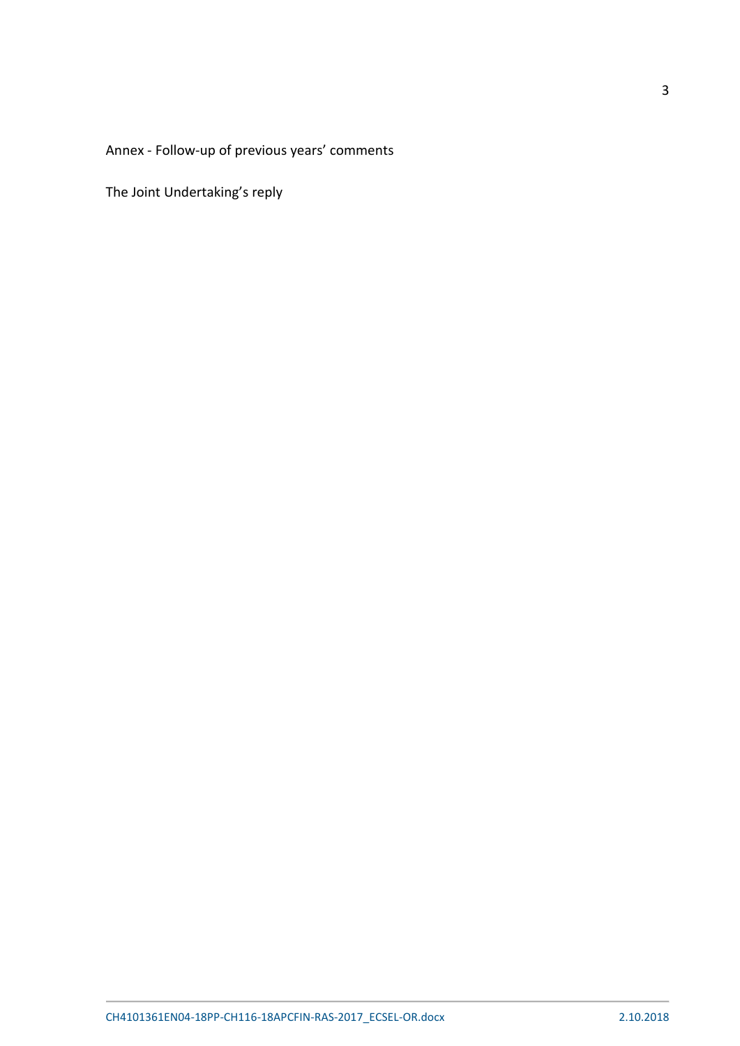Annex - Follow-up of previous years' comments

The Joint Undertaking's reply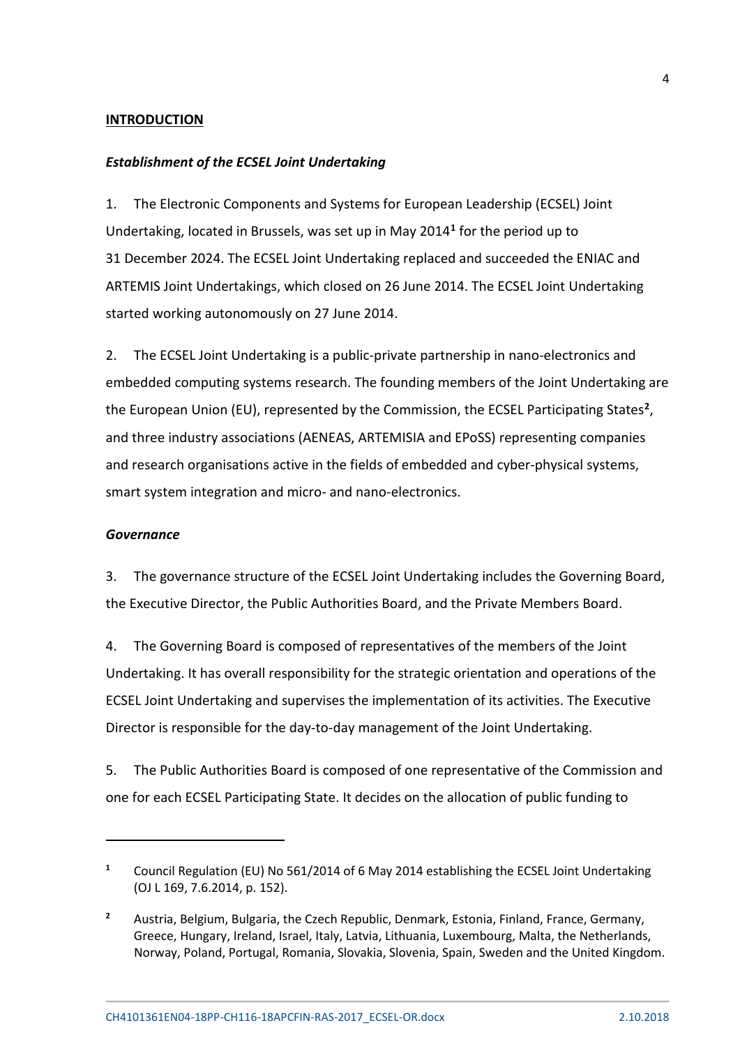## **INTRODUCTION**

### *Establishment of the ECSEL Joint Undertaking*

1. The Electronic Components and Systems for European Leadership (ECSEL) Joint Undertaking, located in Brussels, was set up in May 2014**[1](#page-3-0)** for the period up to 31 December 2024. The ECSEL Joint Undertaking replaced and succeeded the ENIAC and ARTEMIS Joint Undertakings, which closed on 26 June 2014. The ECSEL Joint Undertaking started working autonomously on 27 June 2014.

2. The ECSEL Joint Undertaking is a public-private partnership in nano-electronics and embedded computing systems research. The founding members of the Joint Undertaking are the European Union (EU), represented by the Commission, the ECSEL Participating States**[2](#page-3-1)**, and three industry associations (AENEAS, ARTEMISIA and EPoSS) representing companies and research organisations active in the fields of embedded and cyber-physical systems, smart system integration and micro- and nano-electronics.

#### *Governance*

<u>.</u>

3. The governance structure of the ECSEL Joint Undertaking includes the Governing Board, the Executive Director, the Public Authorities Board, and the Private Members Board.

4. The Governing Board is composed of representatives of the members of the Joint Undertaking. It has overall responsibility for the strategic orientation and operations of the ECSEL Joint Undertaking and supervises the implementation of its activities. The Executive Director is responsible for the day-to-day management of the Joint Undertaking.

5. The Public Authorities Board is composed of one representative of the Commission and one for each ECSEL Participating State. It decides on the allocation of public funding to

<span id="page-3-0"></span>**<sup>1</sup>** Council Regulation (EU) No 561/2014 of 6 May 2014 establishing the ECSEL Joint Undertaking (OJ L 169, 7.6.2014, p. 152).

<span id="page-3-1"></span>**<sup>2</sup>** Austria, Belgium, Bulgaria, the Czech Republic, Denmark, Estonia, Finland, France, Germany, Greece, Hungary, Ireland, Israel, Italy, Latvia, Lithuania, Luxembourg, Malta, the Netherlands, Norway, Poland, Portugal, Romania, Slovakia, Slovenia, Spain, Sweden and the United Kingdom.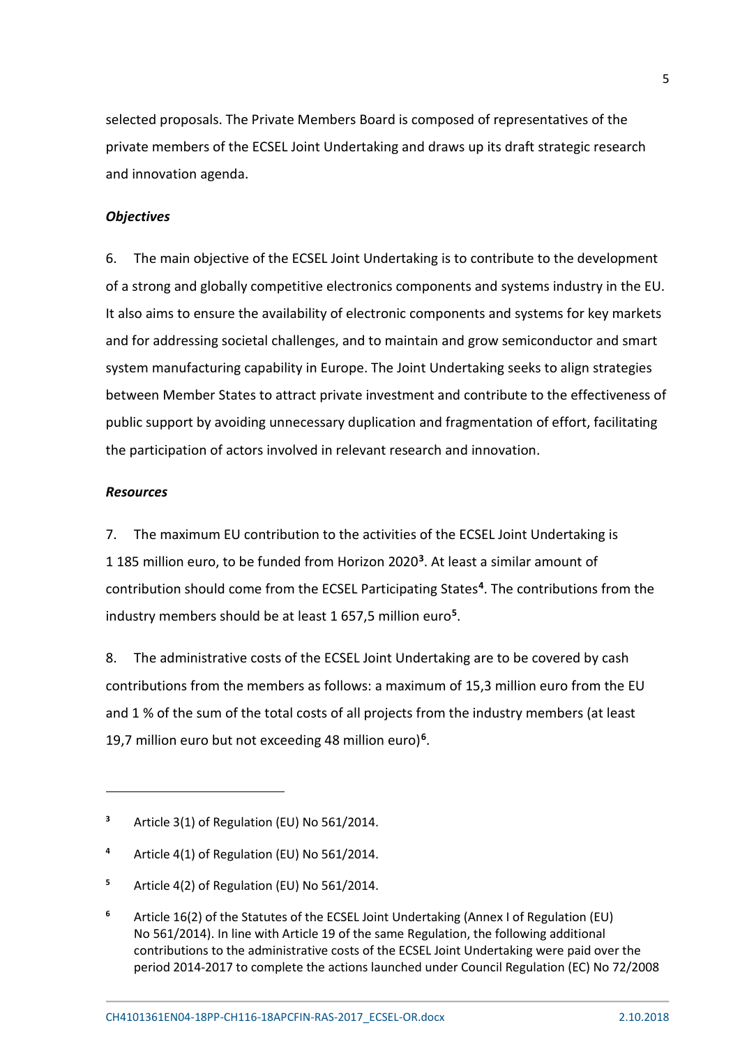selected proposals. The Private Members Board is composed of representatives of the private members of the ECSEL Joint Undertaking and draws up its draft strategic research and innovation agenda.

# *Objectives*

6. The main objective of the ECSEL Joint Undertaking is to contribute to the development of a strong and globally competitive electronics components and systems industry in the EU. It also aims to ensure the availability of electronic components and systems for key markets and for addressing societal challenges, and to maintain and grow semiconductor and smart system manufacturing capability in Europe. The Joint Undertaking seeks to align strategies between Member States to attract private investment and contribute to the effectiveness of public support by avoiding unnecessary duplication and fragmentation of effort, facilitating the participation of actors involved in relevant research and innovation.

# *Resources*

<u>.</u>

7. The maximum EU contribution to the activities of the ECSEL Joint Undertaking is 1 185 million euro, to be funded from Horizon 2020**[3](#page-4-0)**. At least a similar amount of contribution should come from the ECSEL Participating States**[4](#page-4-1)**. The contributions from the industry members should be at least 1 657,5 million euro**[5](#page-4-2)**.

8. The administrative costs of the ECSEL Joint Undertaking are to be covered by cash contributions from the members as follows: a maximum of 15,3 million euro from the EU and 1 % of the sum of the total costs of all projects from the industry members (at least 19,7 million euro but not exceeding 48 million euro)**[6](#page-4-3)**.

<span id="page-4-0"></span>**<sup>3</sup>** Article 3(1) of Regulation (EU) No 561/2014.

<span id="page-4-1"></span>**<sup>4</sup>** Article 4(1) of Regulation (EU) No 561/2014.

<span id="page-4-2"></span>**<sup>5</sup>** Article 4(2) of Regulation (EU) No 561/2014.

<span id="page-4-3"></span>**<sup>6</sup>** Article 16(2) of the Statutes of the ECSEL Joint Undertaking (Annex I of Regulation (EU) No 561/2014). In line with Article 19 of the same Regulation, the following additional contributions to the administrative costs of the ECSEL Joint Undertaking were paid over the period 2014-2017 to complete the actions launched under Council Regulation (EC) No 72/2008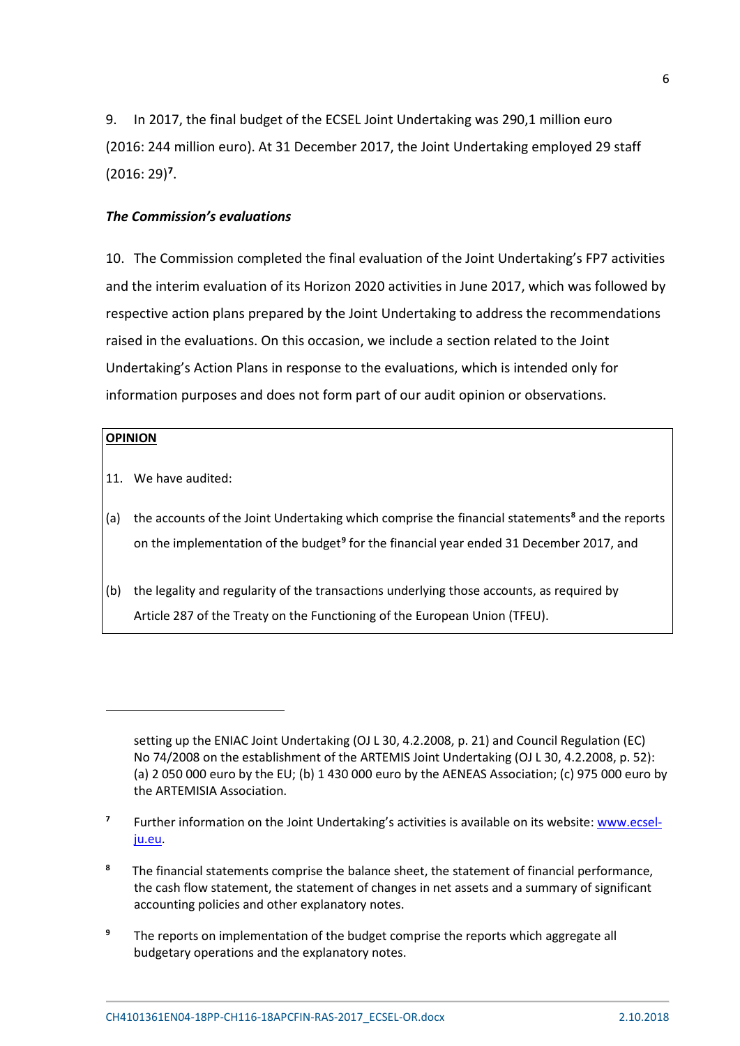9. In 2017, the final budget of the ECSEL Joint Undertaking was 290,1 million euro (2016: 244 million euro). At 31 December 2017, the Joint Undertaking employed 29 staff (2016: 29)**[7](#page-5-0)**.

# *The Commission's evaluations*

10. The Commission completed the final evaluation of the Joint Undertaking's FP7 activities and the interim evaluation of its Horizon 2020 activities in June 2017, which was followed by respective action plans prepared by the Joint Undertaking to address the recommendations raised in the evaluations. On this occasion, we include a section related to the Joint Undertaking's Action Plans in response to the evaluations, which is intended only for information purposes and does not form part of our audit opinion or observations.

## **OPINION**

**.** 

- 11. We have audited:
- (a) the accounts of the Joint Undertaking which comprise the financial statements**[8](#page-5-1)** and the reports on the implementation of the budget**[9](#page-5-2)** for the financial year ended 31 December 2017, and
- (b) the legality and regularity of the transactions underlying those accounts, as required by Article 287 of the Treaty on the Functioning of the European Union (TFEU).

- <span id="page-5-0"></span>**<sup>7</sup>** Further information on the Joint Undertaking's activities is available on its website[: www.ecsel](http://www.ecsel-ju.eu/)[ju.eu.](http://www.ecsel-ju.eu/)
- <span id="page-5-1"></span>**<sup>8</sup>** The financial statements comprise the balance sheet, the statement of financial performance, the cash flow statement, the statement of changes in net assets and a summary of significant accounting policies and other explanatory notes.
- <span id="page-5-2"></span>**<sup>9</sup>** The reports on implementation of the budget comprise the reports which aggregate all budgetary operations and the explanatory notes.

setting up the ENIAC Joint Undertaking (OJ L 30, 4.2.2008, p. 21) and Council Regulation (EC) No 74/2008 on the establishment of the ARTEMIS Joint Undertaking (OJ L 30, 4.2.2008, p. 52): (a) 2 050 000 euro by the EU; (b) 1 430 000 euro by the AENEAS Association; (c) 975 000 euro by the ARTEMISIA Association.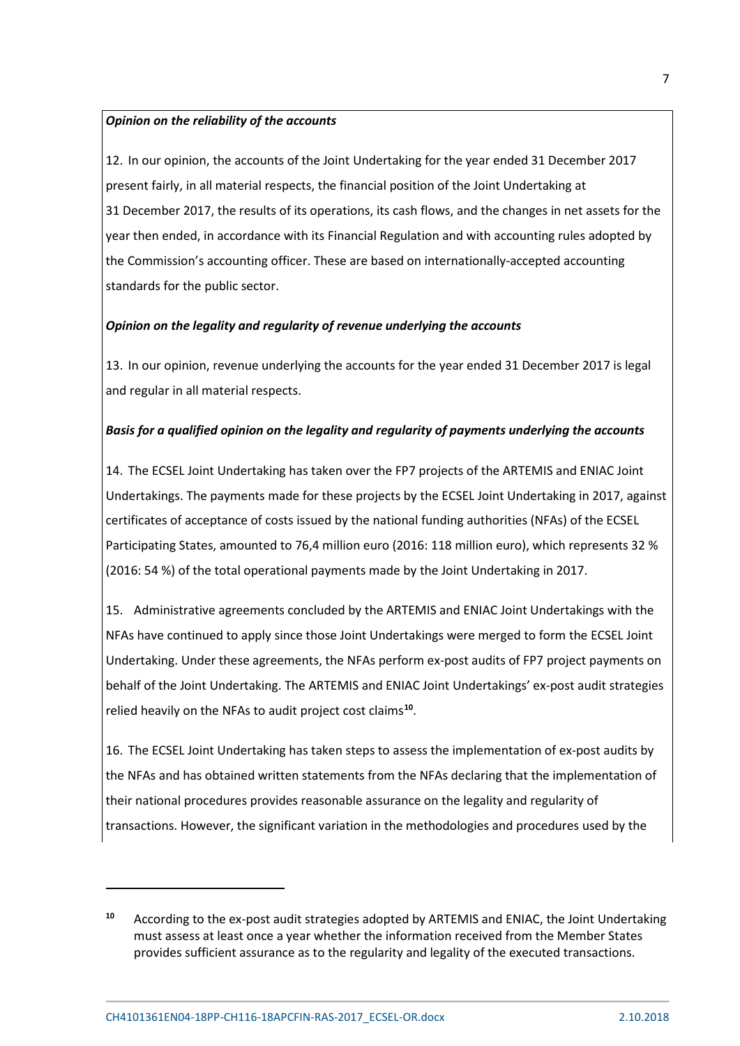### *Opinion on the reliability of the accounts*

12. In our opinion, the accounts of the Joint Undertaking for the year ended 31 December 2017 present fairly, in all material respects, the financial position of the Joint Undertaking at 31 December 2017, the results of its operations, its cash flows, and the changes in net assets for the year then ended, in accordance with its Financial Regulation and with accounting rules adopted by the Commission's accounting officer. These are based on internationally-accepted accounting standards for the public sector.

## *Opinion on the legality and regularity of revenue underlying the accounts*

13. In our opinion, revenue underlying the accounts for the year ended 31 December 2017 is legal and regular in all material respects.

# *Basis for a qualified opinion on the legality and regularity of payments underlying the accounts*

14. The ECSEL Joint Undertaking has taken over the FP7 projects of the ARTEMIS and ENIAC Joint Undertakings. The payments made for these projects by the ECSEL Joint Undertaking in 2017, against certificates of acceptance of costs issued by the national funding authorities (NFAs) of the ECSEL Participating States, amounted to 76,4 million euro (2016: 118 million euro), which represents 32 % (2016: 54 %) of the total operational payments made by the Joint Undertaking in 2017.

15. Administrative agreements concluded by the ARTEMIS and ENIAC Joint Undertakings with the NFAs have continued to apply since those Joint Undertakings were merged to form the ECSEL Joint Undertaking. Under these agreements, the NFAs perform ex-post audits of FP7 project payments on behalf of the Joint Undertaking. The ARTEMIS and ENIAC Joint Undertakings' ex-post audit strategies relied heavily on the NFAs to audit project cost claims**[10](#page-6-0)**.

16. The ECSEL Joint Undertaking has taken steps to assess the implementation of ex-post audits by the NFAs and has obtained written statements from the NFAs declaring that the implementation of their national procedures provides reasonable assurance on the legality and regularity of transactions. However, the significant variation in the methodologies and procedures used by the

**.** 

<span id="page-6-0"></span>**<sup>10</sup>** According to the ex-post audit strategies adopted by ARTEMIS and ENIAC, the Joint Undertaking must assess at least once a year whether the information received from the Member States provides sufficient assurance as to the regularity and legality of the executed transactions.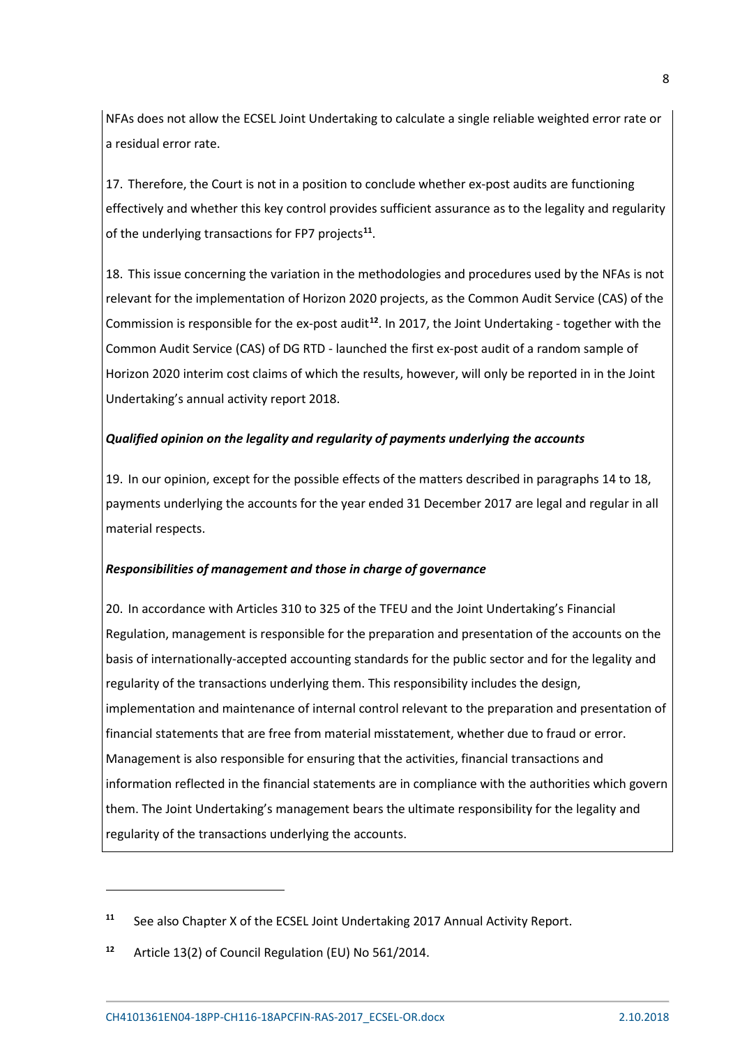NFAs does not allow the ECSEL Joint Undertaking to calculate a single reliable weighted error rate or a residual error rate.

17. Therefore, the Court is not in a position to conclude whether ex-post audits are functioning effectively and whether this key control provides sufficient assurance as to the legality and regularity of the underlying transactions for FP7 projects**[11](#page-7-0)**.

18. This issue concerning the variation in the methodologies and procedures used by the NFAs is not relevant for the implementation of Horizon 2020 projects, as the Common Audit Service (CAS) of the Commission is responsible for the ex-post audit**[12](#page-7-1)**. In 2017, the Joint Undertaking - together with the Common Audit Service (CAS) of DG RTD - launched the first ex-post audit of a random sample of Horizon 2020 interim cost claims of which the results, however, will only be reported in in the Joint Undertaking's annual activity report 2018.

# *Qualified opinion on the legality and regularity of payments underlying the accounts*

19. In our opinion, except for the possible effects of the matters described in paragraphs 14 to 18, payments underlying the accounts for the year ended 31 December 2017 are legal and regular in all material respects.

#### *Responsibilities of management and those in charge of governance*

20. In accordance with Articles 310 to 325 of the TFEU and the Joint Undertaking's Financial Regulation, management is responsible for the preparation and presentation of the accounts on the basis of internationally-accepted accounting standards for the public sector and for the legality and regularity of the transactions underlying them. This responsibility includes the design, implementation and maintenance of internal control relevant to the preparation and presentation of financial statements that are free from material misstatement, whether due to fraud or error. Management is also responsible for ensuring that the activities, financial transactions and information reflected in the financial statements are in compliance with the authorities which govern them. The Joint Undertaking's management bears the ultimate responsibility for the legality and regularity of the transactions underlying the accounts.

<u>.</u>

<span id="page-7-0"></span>**<sup>11</sup>** See also Chapter X of the ECSEL Joint Undertaking 2017 Annual Activity Report.

<span id="page-7-1"></span>**<sup>12</sup>** Article 13(2) of Council Regulation (EU) No 561/2014.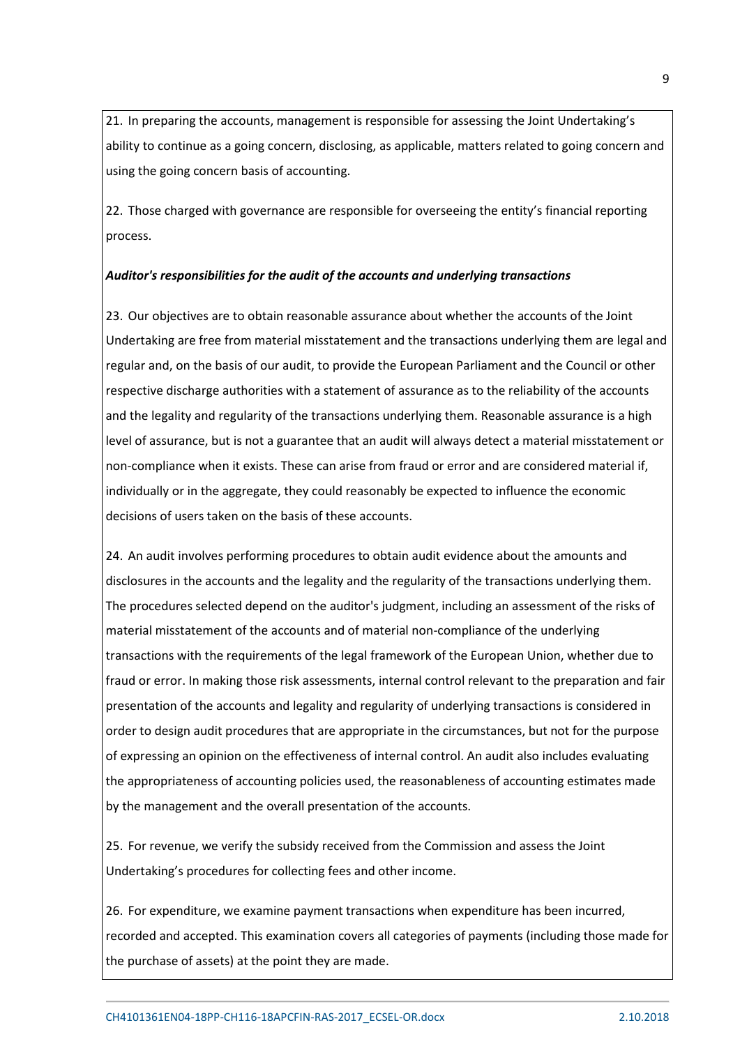21. In preparing the accounts, management is responsible for assessing the Joint Undertaking's ability to continue as a going concern, disclosing, as applicable, matters related to going concern and using the going concern basis of accounting.

22. Those charged with governance are responsible for overseeing the entity's financial reporting process.

# *Auditor's responsibilities for the audit of the accounts and underlying transactions*

23. Our objectives are to obtain reasonable assurance about whether the accounts of the Joint Undertaking are free from material misstatement and the transactions underlying them are legal and regular and, on the basis of our audit, to provide the European Parliament and the Council or other respective discharge authorities with a statement of assurance as to the reliability of the accounts and the legality and regularity of the transactions underlying them. Reasonable assurance is a high level of assurance, but is not a guarantee that an audit will always detect a material misstatement or non-compliance when it exists. These can arise from fraud or error and are considered material if, individually or in the aggregate, they could reasonably be expected to influence the economic decisions of users taken on the basis of these accounts.

24. An audit involves performing procedures to obtain audit evidence about the amounts and disclosures in the accounts and the legality and the regularity of the transactions underlying them. The procedures selected depend on the auditor's judgment, including an assessment of the risks of material misstatement of the accounts and of material non-compliance of the underlying transactions with the requirements of the legal framework of the European Union, whether due to fraud or error. In making those risk assessments, internal control relevant to the preparation and fair presentation of the accounts and legality and regularity of underlying transactions is considered in order to design audit procedures that are appropriate in the circumstances, but not for the purpose of expressing an opinion on the effectiveness of internal control. An audit also includes evaluating the appropriateness of accounting policies used, the reasonableness of accounting estimates made by the management and the overall presentation of the accounts.

25. For revenue, we verify the subsidy received from the Commission and assess the Joint Undertaking's procedures for collecting fees and other income.

26. For expenditure, we examine payment transactions when expenditure has been incurred, recorded and accepted. This examination covers all categories of payments (including those made for the purchase of assets) at the point they are made.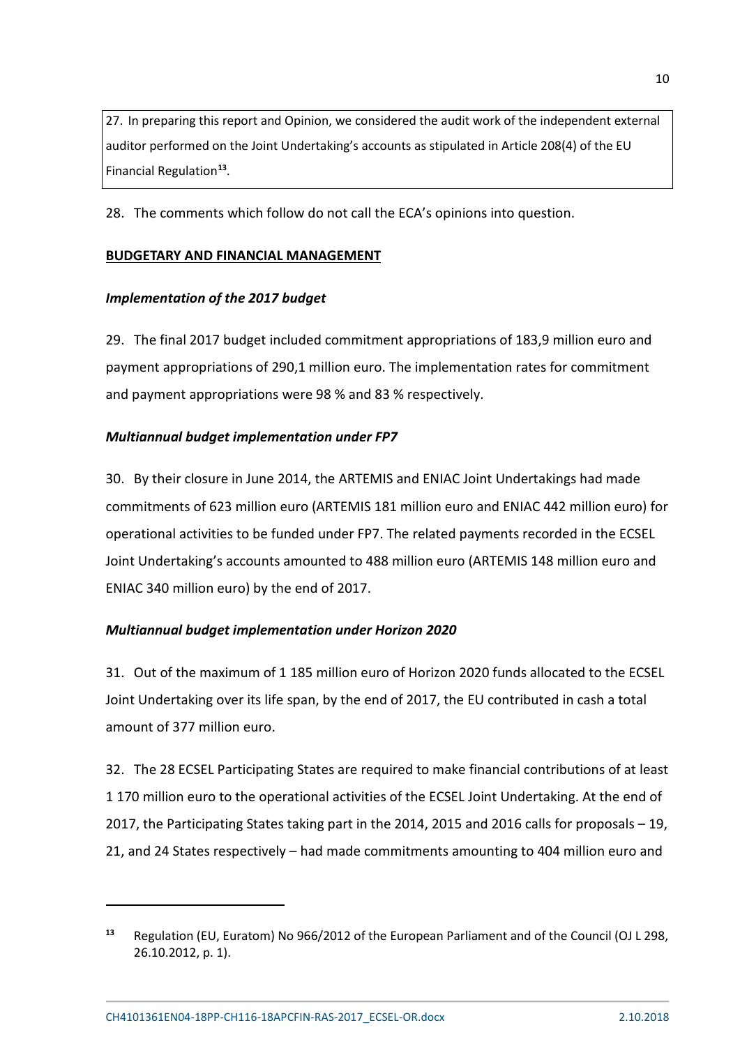27. In preparing this report and Opinion, we considered the audit work of the independent external auditor performed on the Joint Undertaking's accounts as stipulated in Article 208(4) of the EU Financial Regulation**[13](#page-9-0)**.

28. The comments which follow do not call the ECA's opinions into question.

# **BUDGETARY AND FINANCIAL MANAGEMENT**

# *Implementation of the 2017 budget*

29. The final 2017 budget included commitment appropriations of 183,9 million euro and payment appropriations of 290,1 million euro. The implementation rates for commitment and payment appropriations were 98 % and 83 % respectively.

# *Multiannual budget implementation under FP7*

30. By their closure in June 2014, the ARTEMIS and ENIAC Joint Undertakings had made commitments of 623 million euro (ARTEMIS 181 million euro and ENIAC 442 million euro) for operational activities to be funded under FP7. The related payments recorded in the ECSEL Joint Undertaking's accounts amounted to 488 million euro (ARTEMIS 148 million euro and ENIAC 340 million euro) by the end of 2017.

# *Multiannual budget implementation under Horizon 2020*

31. Out of the maximum of 1 185 million euro of Horizon 2020 funds allocated to the ECSEL Joint Undertaking over its life span, by the end of 2017, the EU contributed in cash a total amount of 377 million euro.

32. The 28 ECSEL Participating States are required to make financial contributions of at least 1 170 million euro to the operational activities of the ECSEL Joint Undertaking. At the end of 2017, the Participating States taking part in the 2014, 2015 and 2016 calls for proposals – 19, 21, and 24 States respectively – had made commitments amounting to 404 million euro and

<u>.</u>

<span id="page-9-0"></span>**<sup>13</sup>** Regulation (EU, Euratom) No 966/2012 of the European Parliament and of the Council (OJ L 298, 26.10.2012, p. 1).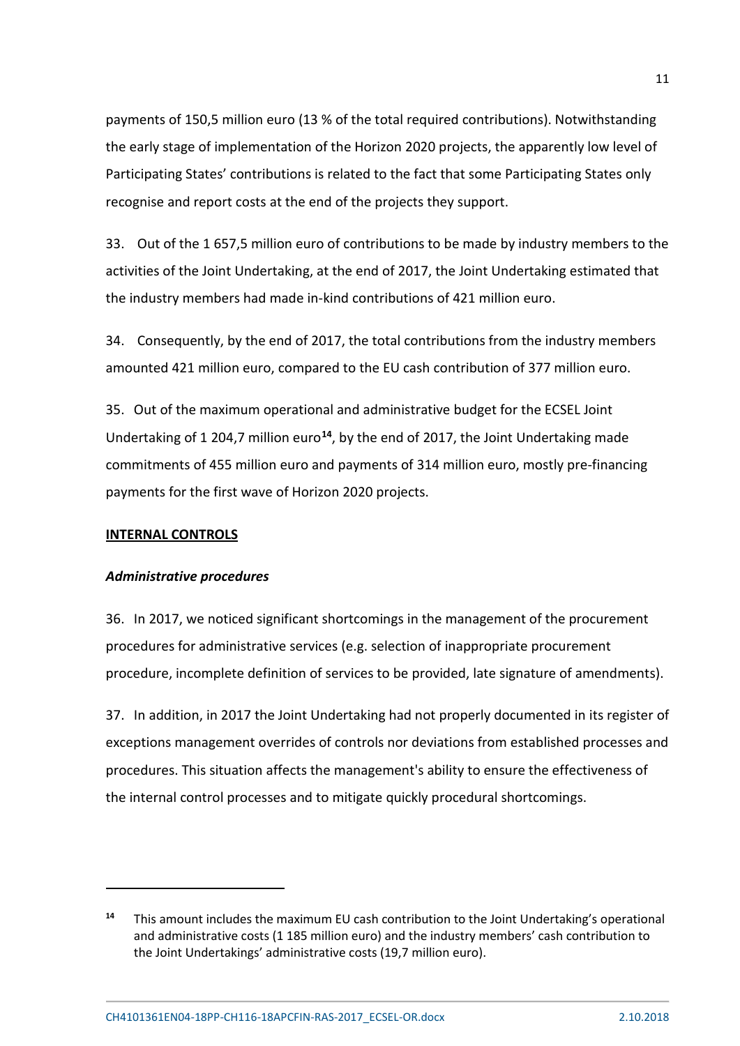payments of 150,5 million euro (13 % of the total required contributions). Notwithstanding the early stage of implementation of the Horizon 2020 projects, the apparently low level of Participating States' contributions is related to the fact that some Participating States only recognise and report costs at the end of the projects they support.

33. Out of the 1 657,5 million euro of contributions to be made by industry members to the activities of the Joint Undertaking, at the end of 2017, the Joint Undertaking estimated that the industry members had made in-kind contributions of 421 million euro.

34. Consequently, by the end of 2017, the total contributions from the industry members amounted 421 million euro, compared to the EU cash contribution of 377 million euro.

35. Out of the maximum operational and administrative budget for the ECSEL Joint Undertaking of 1 204,7 million euro**[14](#page-10-0)**, by the end of 2017, the Joint Undertaking made commitments of 455 million euro and payments of 314 million euro, mostly pre-financing payments for the first wave of Horizon 2020 projects.

# **INTERNAL CONTROLS**

**.** 

# *Administrative procedures*

36. In 2017, we noticed significant shortcomings in the management of the procurement procedures for administrative services (e.g. selection of inappropriate procurement procedure, incomplete definition of services to be provided, late signature of amendments).

37. In addition, in 2017 the Joint Undertaking had not properly documented in its register of exceptions management overrides of controls nor deviations from established processes and procedures. This situation affects the management's ability to ensure the effectiveness of the internal control processes and to mitigate quickly procedural shortcomings.

<span id="page-10-0"></span>**<sup>14</sup>** This amount includes the maximum EU cash contribution to the Joint Undertaking's operational and administrative costs (1 185 million euro) and the industry members' cash contribution to the Joint Undertakings' administrative costs (19,7 million euro).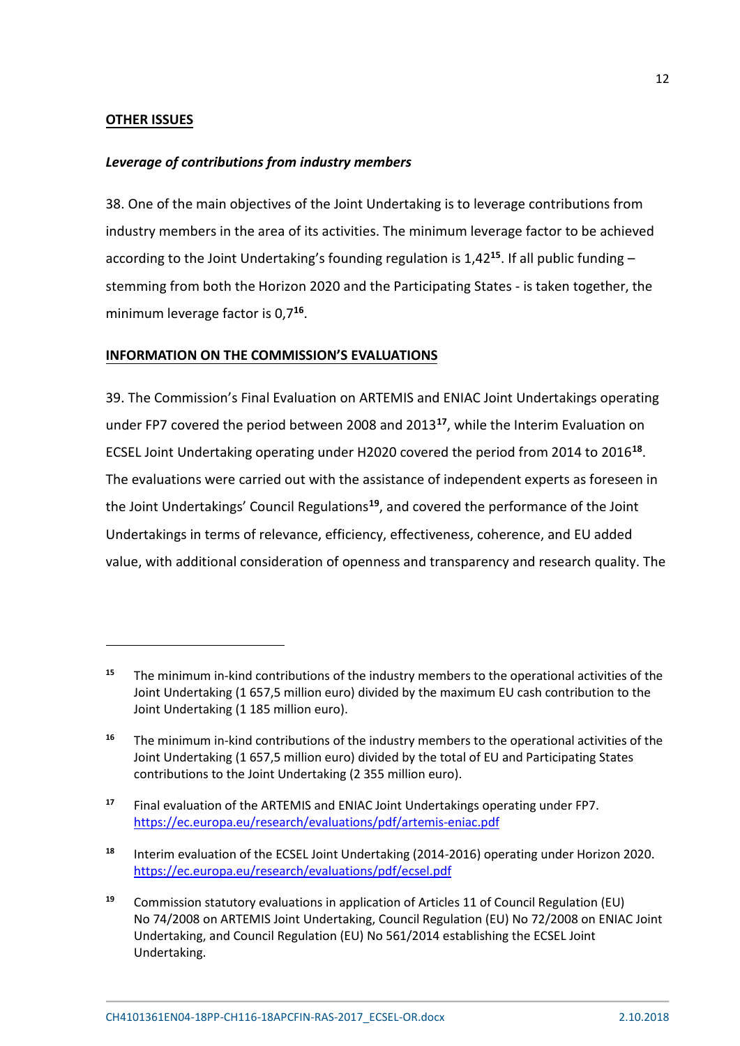# **OTHER ISSUES**

#### *Leverage of contributions from industry members*

38. One of the main objectives of the Joint Undertaking is to leverage contributions from industry members in the area of its activities. The minimum leverage factor to be achieved according to the Joint Undertaking's founding regulation is 1,42**[15](#page-11-0)** . If all public funding – stemming from both the Horizon 2020 and the Participating States - is taken together, the minimum leverage factor is 0,7**[16](#page-11-1)** .

## **INFORMATION ON THE COMMISSION'S EVALUATIONS**

39. The Commission's Final Evaluation on ARTEMIS and ENIAC Joint Undertakings operating under FP7 covered the period between 2008 and 2013**[17](#page-11-2)** , while the Interim Evaluation on ECSEL Joint Undertaking operating under H2020 covered the period from 2014 to 2016**[18](#page-11-3)** . The evaluations were carried out with the assistance of independent experts as foreseen in the Joint Undertakings' Council Regulations**[19](#page-11-4)** , and covered the performance of the Joint Undertakings in terms of relevance, efficiency, effectiveness, coherence, and EU added value, with additional consideration of openness and transparency and research quality. The

<span id="page-11-0"></span>**<sup>15</sup>** The minimum in-kind contributions of the industry members to the operational activities of the Joint Undertaking (1 657,5 million euro) divided by the maximum EU cash contribution to the Joint Undertaking (1 185 million euro).

<span id="page-11-1"></span>**<sup>16</sup>** The minimum in-kind contributions of the industry members to the operational activities of the Joint Undertaking (1 657,5 million euro) divided by the total of EU and Participating States contributions to the Joint Undertaking (2 355 million euro).

<span id="page-11-2"></span>**<sup>17</sup>** Final evaluation of the ARTEMIS and ENIAC Joint Undertakings operating under FP7. <https://ec.europa.eu/research/evaluations/pdf/artemis-eniac.pdf>

<span id="page-11-3"></span>**<sup>18</sup>** Interim evaluation of the ECSEL Joint Undertaking (2014-2016) operating under Horizon 2020. <https://ec.europa.eu/research/evaluations/pdf/ecsel.pdf>

<span id="page-11-4"></span>**<sup>19</sup>** Commission statutory evaluations in application of Articles 11 of Council Regulation (EU) No 74/2008 on ARTEMIS Joint Undertaking, Council Regulation (EU) No 72/2008 on ENIAC Joint Undertaking, and Council Regulation (EU) No 561/2014 establishing the ECSEL Joint Undertaking.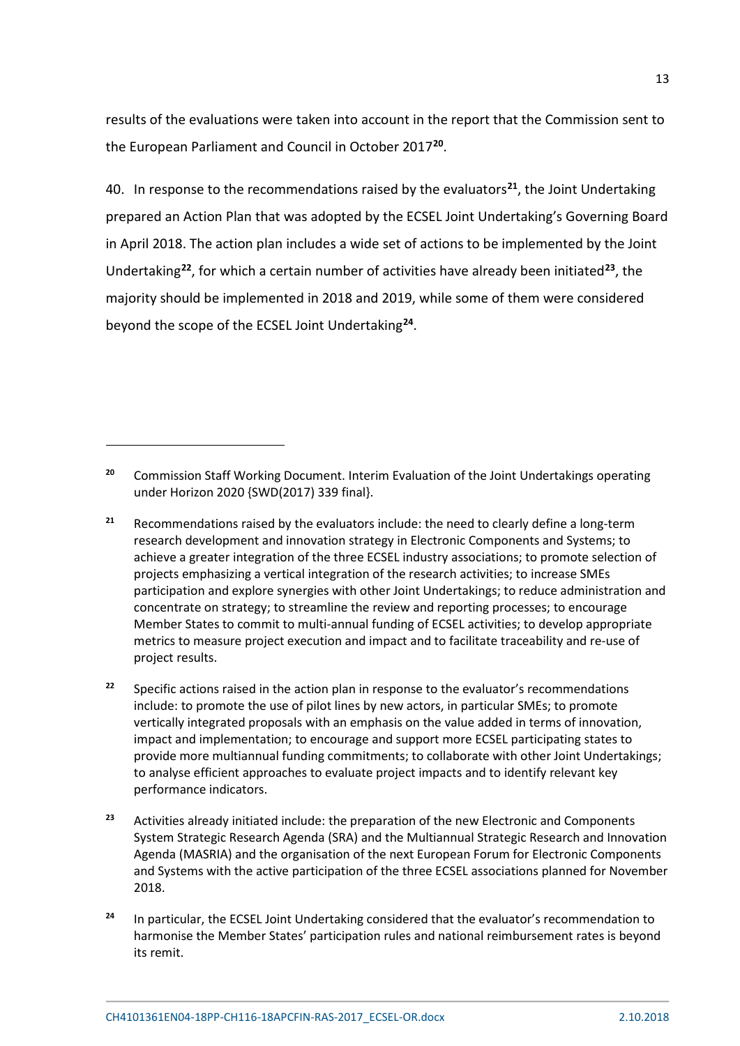results of the evaluations were taken into account in the report that the Commission sent to the European Parliament and Council in October 2017**[20](#page-12-0)**.

40. In response to the recommendations raised by the evaluators**[21](#page-12-1)**, the Joint Undertaking prepared an Action Plan that was adopted by the ECSEL Joint Undertaking's Governing Board in April 2018. The action plan includes a wide set of actions to be implemented by the Joint Undertaking**[22](#page-12-2)**, for which a certain number of activities have already been initiated**[23](#page-12-3)**, the majority should be implemented in 2018 and 2019, while some of them were considered beyond the scope of the ECSEL Joint Undertaking**[24](#page-12-4)**.

**.** 

<span id="page-12-0"></span>**<sup>20</sup>** Commission Staff Working Document. Interim Evaluation of the Joint Undertakings operating under Horizon 2020 {SWD(2017) 339 final}.

<span id="page-12-1"></span>**<sup>21</sup>** Recommendations raised by the evaluators include: the need to clearly define a long-term research development and innovation strategy in Electronic Components and Systems; to achieve a greater integration of the three ECSEL industry associations; to promote selection of projects emphasizing a vertical integration of the research activities; to increase SMEs participation and explore synergies with other Joint Undertakings; to reduce administration and concentrate on strategy; to streamline the review and reporting processes; to encourage Member States to commit to multi-annual funding of ECSEL activities; to develop appropriate metrics to measure project execution and impact and to facilitate traceability and re-use of project results.

<span id="page-12-2"></span><sup>&</sup>lt;sup>22</sup> Specific actions raised in the action plan in response to the evaluator's recommendations include: to promote the use of pilot lines by new actors, in particular SMEs; to promote vertically integrated proposals with an emphasis on the value added in terms of innovation, impact and implementation; to encourage and support more ECSEL participating states to provide more multiannual funding commitments; to collaborate with other Joint Undertakings; to analyse efficient approaches to evaluate project impacts and to identify relevant key performance indicators.

<span id="page-12-3"></span>**<sup>23</sup>** Activities already initiated include: the preparation of the new Electronic and Components System Strategic Research Agenda (SRA) and the Multiannual Strategic Research and Innovation Agenda (MASRIA) and the organisation of the next European Forum for Electronic Components and Systems with the active participation of the three ECSEL associations planned for November 2018.

<span id="page-12-4"></span>**<sup>24</sup>** In particular, the ECSEL Joint Undertaking considered that the evaluator's recommendation to harmonise the Member States' participation rules and national reimbursement rates is beyond its remit.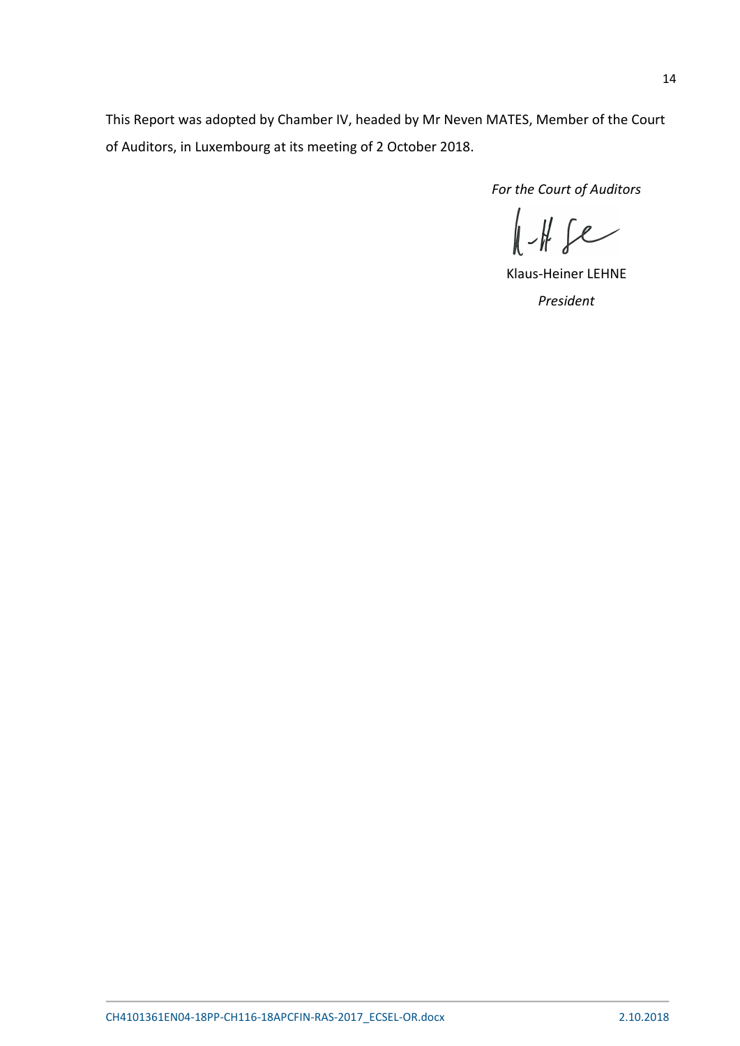This Report was adopted by Chamber IV, headed by Mr Neven MATES, Member of the Court of Auditors, in Luxembourg at its meeting of 2 October 2018.

*For the Court of Auditors*<br> $\left\| \begin{array}{c} \end{array} \right\|_2$ 

Klaus-Heiner LEHNE *President*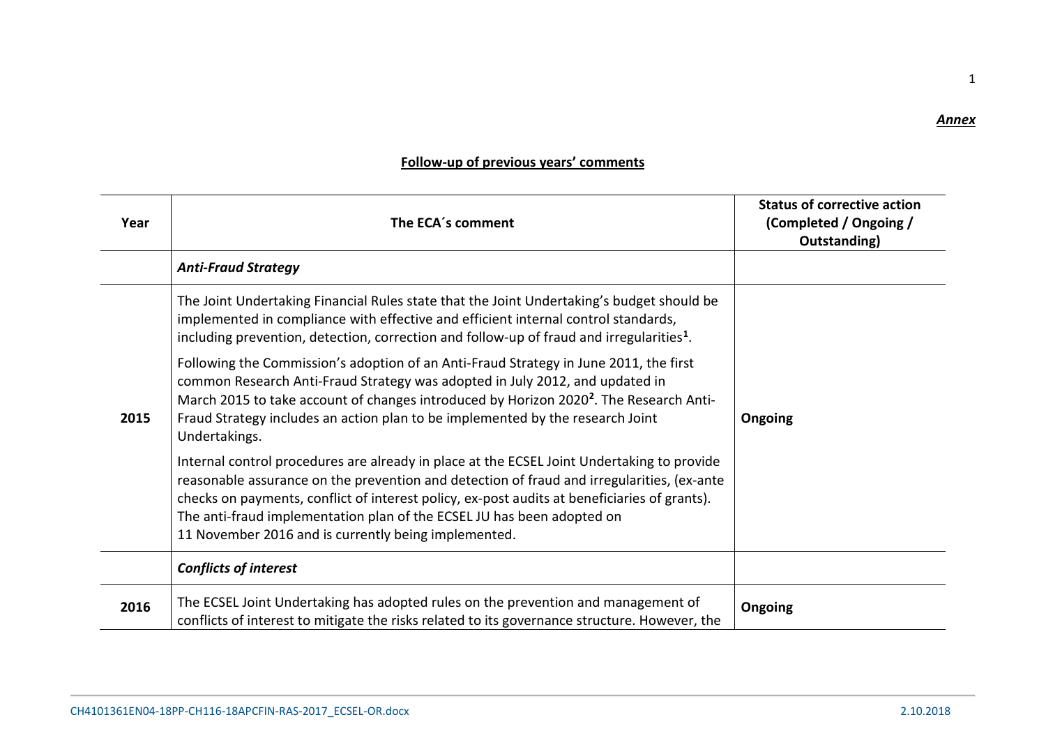## *Annex*

1

| Year | The ECA's comment                                                                                                                                                                                                                                                                                                                                                                                                          | <b>Status of corrective action</b><br>(Completed / Ongoing /<br>Outstanding) |
|------|----------------------------------------------------------------------------------------------------------------------------------------------------------------------------------------------------------------------------------------------------------------------------------------------------------------------------------------------------------------------------------------------------------------------------|------------------------------------------------------------------------------|
|      | <b>Anti-Fraud Strategy</b>                                                                                                                                                                                                                                                                                                                                                                                                 |                                                                              |
|      | The Joint Undertaking Financial Rules state that the Joint Undertaking's budget should be<br>implemented in compliance with effective and efficient internal control standards,<br>including prevention, detection, correction and follow-up of fraud and irregularities <sup>1</sup> .                                                                                                                                    |                                                                              |
| 2015 | Following the Commission's adoption of an Anti-Fraud Strategy in June 2011, the first<br>common Research Anti-Fraud Strategy was adopted in July 2012, and updated in<br>March 2015 to take account of changes introduced by Horizon 2020 <sup>2</sup> . The Research Anti-<br>Fraud Strategy includes an action plan to be implemented by the research Joint<br>Undertakings.                                             | Ongoing                                                                      |
|      | Internal control procedures are already in place at the ECSEL Joint Undertaking to provide<br>reasonable assurance on the prevention and detection of fraud and irregularities, (ex-ante<br>checks on payments, conflict of interest policy, ex-post audits at beneficiaries of grants).<br>The anti-fraud implementation plan of the ECSEL JU has been adopted on<br>11 November 2016 and is currently being implemented. |                                                                              |
|      | <b>Conflicts of interest</b>                                                                                                                                                                                                                                                                                                                                                                                               |                                                                              |
| 2016 | The ECSEL Joint Undertaking has adopted rules on the prevention and management of<br>conflicts of interest to mitigate the risks related to its governance structure. However, the                                                                                                                                                                                                                                         | Ongoing                                                                      |

# **Follow-up of previous years' comments**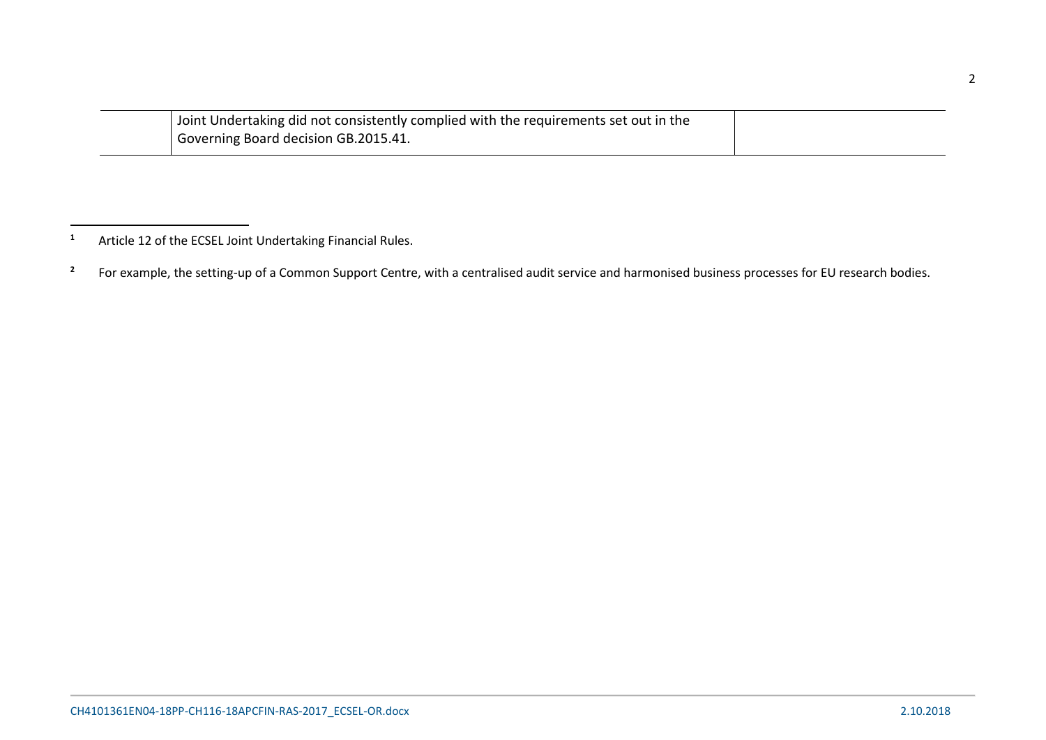<span id="page-15-1"></span><span id="page-15-0"></span>

| Joint Undertaking did not consistently complied with the requirements set out in the |  |
|--------------------------------------------------------------------------------------|--|
| Governing Board decision GB.2015.41.                                                 |  |

l

**<sup>1</sup>** Article 12 of the ECSEL Joint Undertaking Financial Rules.

<sup>&</sup>lt;sup>2</sup> For example, the setting-up of a Common Support Centre, with a centralised audit service and harmonised business processes for EU research bodies.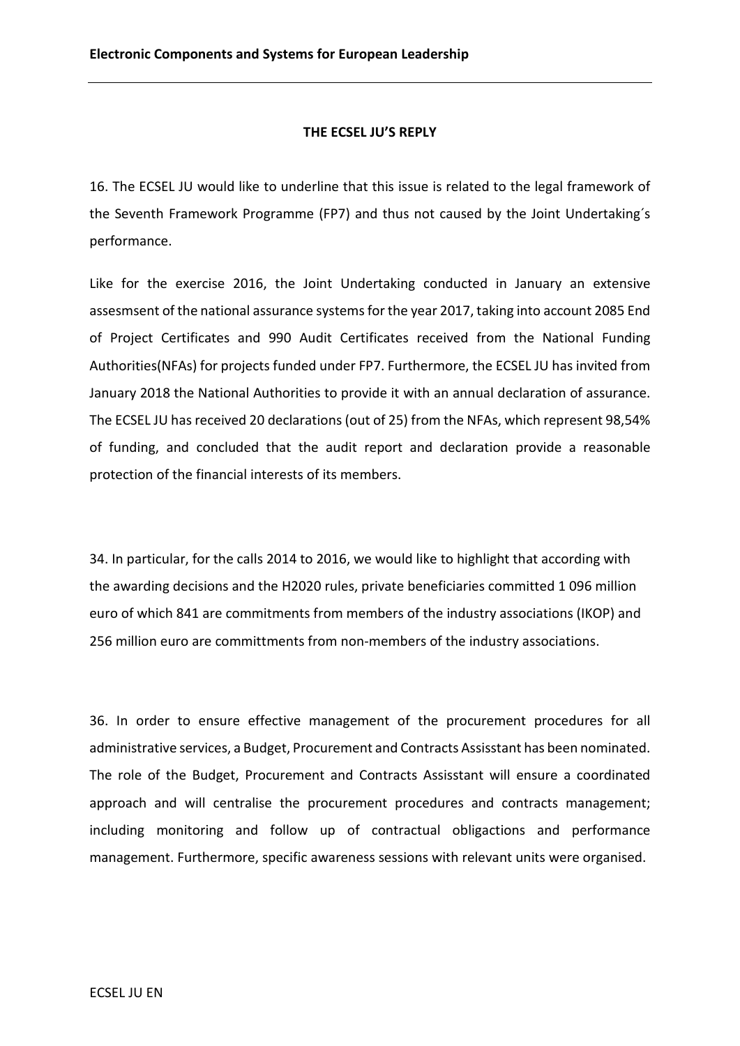### **THE ECSEL JU'S REPLY**

16. The ECSEL JU would like to underline that this issue is related to the legal framework of the Seventh Framework Programme (FP7) and thus not caused by the Joint Undertaking´s performance.

Like for the exercise 2016, the Joint Undertaking conducted in January an extensive assesmsent of the national assurance systems for the year 2017, taking into account 2085 End of Project Certificates and 990 Audit Certificates received from the National Funding Authorities(NFAs) for projects funded under FP7. Furthermore, the ECSEL JU has invited from January 2018 the National Authorities to provide it with an annual declaration of assurance. The ECSEL JU has received 20 declarations (out of 25) from the NFAs, which represent 98,54% of funding, and concluded that the audit report and declaration provide a reasonable protection of the financial interests of its members.

34. In particular, for the calls 2014 to 2016, we would like to highlight that according with the awarding decisions and the H2020 rules, private beneficiaries committed 1 096 million euro of which 841 are commitments from members of the industry associations (IKOP) and 256 million euro are committments from non-members of the industry associations.

36. In order to ensure effective management of the procurement procedures for all administrative services, a Budget, Procurement and Contracts Assisstant has been nominated. The role of the Budget, Procurement and Contracts Assisstant will ensure a coordinated approach and will centralise the procurement procedures and contracts management; including monitoring and follow up of contractual obligactions and performance management. Furthermore, specific awareness sessions with relevant units were organised.